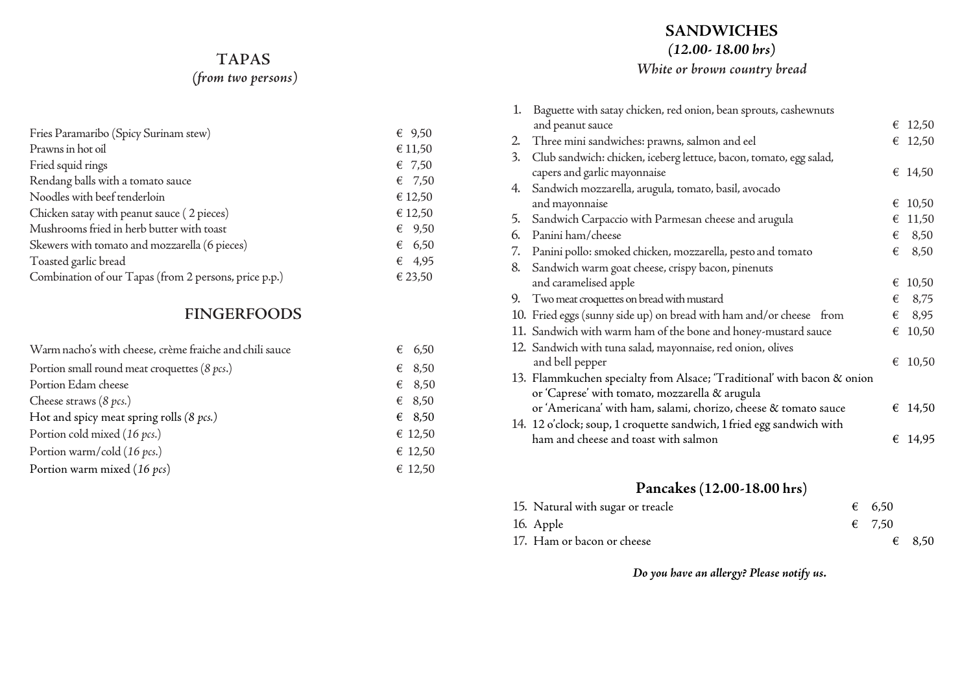# **TAPAS**

*(from two persons)*

| Fries Paramaribo (Spicy Surinam stew)                 | € $9,50$        |
|-------------------------------------------------------|-----------------|
| Prawns in hot oil                                     | € 11,50         |
| Fried squid rings                                     | $\epsilon$ 7,50 |
| Rendang balls with a tomato sauce                     | $\epsilon$ 7,50 |
| Noodles with beef tenderloin                          | € 12,50         |
| Chicken satay with peanut sauce (2 pieces)            | € 12,50         |
| Mushrooms fried in herb butter with toast             | 69,50           |
| Skewers with tomato and mozzarella (6 pieces)         | 6,50            |
| Toasted garlic bread                                  | 64,95           |
| Combination of our Tapas (from 2 persons, price p.p.) | € 23,50         |

# **FINGERFOODS**

| Warm nacho's with cheese, crème fraiche and chili sauce | € 6,50          |
|---------------------------------------------------------|-----------------|
| Portion small round meat croquettes (8 pcs.)            | $\epsilon$ 8,50 |
| Portion Edam cheese                                     | $\epsilon$ 8,50 |
| Cheese straws $(8 \text{ } pcs.)$                       | $\epsilon$ 8,50 |
| Hot and spicy meat spring rolls $(8 \text{ } pcs.)$     | $\epsilon$ 8,50 |
| Portion cold mixed (16 pcs.)                            | € 12,50         |
| Portion warm/cold (16 pcs.)                             | € 12,50         |
| Portion warm mixed (16 pcs)                             | € 12,50         |

## **SANDWICHES**

*(12.00- 18.00 hrs)*

# *White or brown country bread*

| 1.       | Baguette with satay chicken, red onion, bean sprouts, cashewnuts        |   |                  |
|----------|-------------------------------------------------------------------------|---|------------------|
|          | and peanut sauce                                                        |   | € 12,50          |
| $2\cdot$ | Three mini sandwiches: prawns, salmon and eel                           |   | $\epsilon$ 12,50 |
| 3.       | Club sandwich: chicken, iceberg lettuce, bacon, tomato, egg salad,      |   |                  |
|          | capers and garlic mayonnaise                                            |   | € 14,50          |
| 4.       | Sandwich mozzarella, arugula, tomato, basil, avocado                    |   |                  |
|          | and mayonnaise                                                          | € | 10,50            |
| 5.       | Sandwich Carpaccio with Parmesan cheese and arugula                     | € | 11,50            |
| 6.       | Panini ham/cheese                                                       | € | 8,50             |
| 7.       | Panini pollo: smoked chicken, mozzarella, pesto and tomato              | € | 8,50             |
| 8.       | Sandwich warm goat cheese, crispy bacon, pinenuts                       |   |                  |
|          | and caramelised apple                                                   | € | 10,50            |
| 9.       | Two meat croquettes on bread with mustard                               | € | 8,75             |
|          | 10. Fried eggs (sunny side up) on bread with ham and/or cheese from     | € | 8,95             |
|          | 11. Sandwich with warm ham of the bone and honey-mustard sauce          | € | 10,50            |
|          | 12. Sandwich with tuna salad, mayonnaise, red onion, olives             |   |                  |
|          | and bell pepper                                                         | € | 10,50            |
|          | 13. Flammkuchen specialty from Alsace; 'Traditional' with bacon & onion |   |                  |
|          | or 'Caprese' with tomato, mozzarella & arugula                          |   |                  |
|          | or 'Americana' with ham, salami, chorizo, cheese & tomato sauce         |   | € 14,50          |
|          | 14. 12 o'clock; soup, 1 croquette sandwich, 1 fried egg sandwich with   |   |                  |
|          | ham and cheese and toast with salmon                                    |   | € 14.95          |

# **Pancakes(12.00-18.00 hrs)**

| 15. Natural with sugar or treacle | $\epsilon$ 6.50 |                 |
|-----------------------------------|-----------------|-----------------|
| 16. Apple                         | $\epsilon$ 7.50 |                 |
| 17. Ham or bacon or cheese        |                 | $\epsilon$ 8,50 |

*Do you have an allergy? Please notify us.*